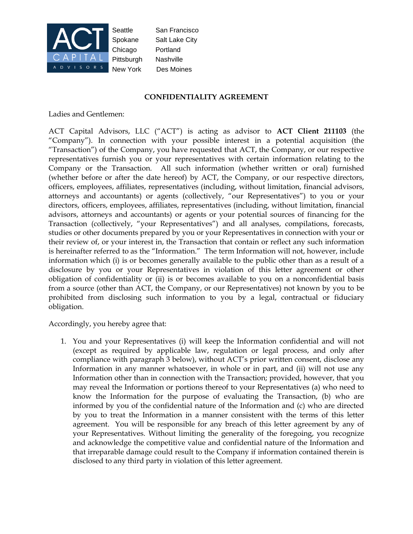

Seattle San Francisco Spokane Salt Lake City Chicago Portland Pittsburgh Nashville New York Des Moines

## **CONFIDENTIALITY AGREEMENT**

Ladies and Gentlemen:

ACT Capital Advisors, LLC ("ACT") is acting as advisor to **ACT Client 211103** (the "Company"). In connection with your possible interest in a potential acquisition (the "Transaction") of the Company, you have requested that ACT, the Company, or our respective representatives furnish you or your representatives with certain information relating to the Company or the Transaction. All such information (whether written or oral) furnished (whether before or after the date hereof) by ACT, the Company, or our respective directors, officers, employees, affiliates, representatives (including, without limitation, financial advisors, attorneys and accountants) or agents (collectively, "our Representatives") to you or your directors, officers, employees, affiliates, representatives (including, without limitation, financial advisors, attorneys and accountants) or agents or your potential sources of financing for the Transaction (collectively, "your Representatives") and all analyses, compilations, forecasts, studies or other documents prepared by you or your Representatives in connection with your or their review of, or your interest in, the Transaction that contain or reflect any such information is hereinafter referred to as the "Information." The term Information will not, however, include information which (i) is or becomes generally available to the public other than as a result of a disclosure by you or your Representatives in violation of this letter agreement or other obligation of confidentiality or (ii) is or becomes available to you on a nonconfidential basis from a source (other than ACT, the Company, or our Representatives) not known by you to be prohibited from disclosing such information to you by a legal, contractual or fiduciary obligation.

Accordingly, you hereby agree that:

1. You and your Representatives (i) will keep the Information confidential and will not (except as required by applicable law, regulation or legal process, and only after compliance with paragraph 3 below), without ACT's prior written consent, disclose any Information in any manner whatsoever, in whole or in part, and (ii) will not use any Information other than in connection with the Transaction; provided, however, that you may reveal the Information or portions thereof to your Representatives (a) who need to know the Information for the purpose of evaluating the Transaction, (b) who are informed by you of the confidential nature of the Information and (c) who are directed by you to treat the Information in a manner consistent with the terms of this letter agreement. You will be responsible for any breach of this letter agreement by any of your Representatives. Without limiting the generality of the foregoing, you recognize and acknowledge the competitive value and confidential nature of the Information and that irreparable damage could result to the Company if information contained therein is disclosed to any third party in violation of this letter agreement.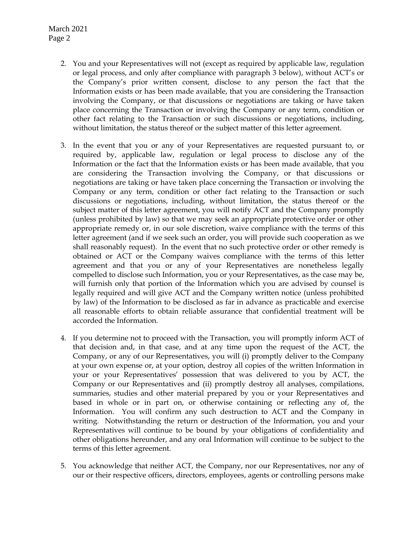March 2021 Page 2

- 2. You and your Representatives will not (except as required by applicable law, regulation or legal process, and only after compliance with paragraph 3 below), without ACT's or the Company's prior written consent, disclose to any person the fact that the Information exists or has been made available, that you are considering the Transaction involving the Company, or that discussions or negotiations are taking or have taken place concerning the Transaction or involving the Company or any term, condition or other fact relating to the Transaction or such discussions or negotiations, including, without limitation, the status thereof or the subject matter of this letter agreement.
- 3. In the event that you or any of your Representatives are requested pursuant to, or required by, applicable law, regulation or legal process to disclose any of the Information or the fact that the Information exists or has been made available, that you are considering the Transaction involving the Company, or that discussions or negotiations are taking or have taken place concerning the Transaction or involving the Company or any term, condition or other fact relating to the Transaction or such discussions or negotiations, including, without limitation, the status thereof or the subject matter of this letter agreement, you will notify ACT and the Company promptly (unless prohibited by law) so that we may seek an appropriate protective order or other appropriate remedy or, in our sole discretion, waive compliance with the terms of this letter agreement (and if we seek such an order, you will provide such cooperation as we shall reasonably request). In the event that no such protective order or other remedy is obtained or ACT or the Company waives compliance with the terms of this letter agreement and that you or any of your Representatives are nonetheless legally compelled to disclose such Information, you or your Representatives, as the case may be, will furnish only that portion of the Information which you are advised by counsel is legally required and will give ACT and the Company written notice (unless prohibited by law) of the Information to be disclosed as far in advance as practicable and exercise all reasonable efforts to obtain reliable assurance that confidential treatment will be accorded the Information.
- 4. If you determine not to proceed with the Transaction, you will promptly inform ACT of that decision and, in that case, and at any time upon the request of the ACT, the Company, or any of our Representatives, you will (i) promptly deliver to the Company at your own expense or, at your option, destroy all copies of the written Information in your or your Representatives' possession that was delivered to you by ACT, the Company or our Representatives and (ii) promptly destroy all analyses, compilations, summaries, studies and other material prepared by you or your Representatives and based in whole or in part on, or otherwise containing or reflecting any of, the Information. You will confirm any such destruction to ACT and the Company in writing. Notwithstanding the return or destruction of the Information, you and your Representatives will continue to be bound by your obligations of confidentiality and other obligations hereunder, and any oral Information will continue to be subject to the terms of this letter agreement.
- 5. You acknowledge that neither ACT, the Company, nor our Representatives, nor any of our or their respective officers, directors, employees, agents or controlling persons make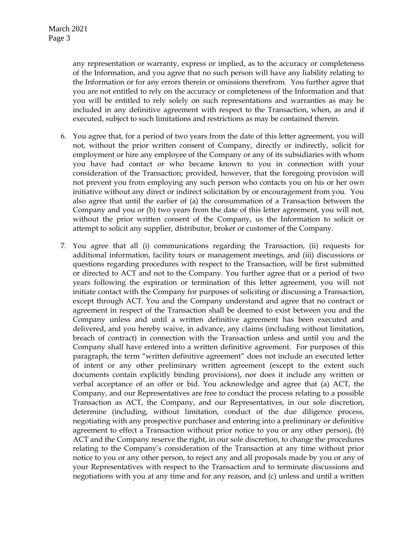any representation or warranty, express or implied, as to the accuracy or completeness of the Information, and you agree that no such person will have any liability relating to the Information or for any errors therein or omissions therefrom. You further agree that you are not entitled to rely on the accuracy or completeness of the Information and that you will be entitled to rely solely on such representations and warranties as may be included in any definitive agreement with respect to the Transaction, when, as and if executed, subject to such limitations and restrictions as may be contained therein.

- 6. You agree that, for a period of two years from the date of this letter agreement, you will not, without the prior written consent of Company, directly or indirectly, solicit for employment or hire any employee of the Company or any of its subsidiaries with whom you have had contact or who became known to you in connection with your consideration of the Transaction; provided, however, that the foregoing provision will not prevent you from employing any such person who contacts you on his or her own initiative without any direct or indirect solicitation by or encouragement from you. You also agree that until the earlier of (a) the consummation of a Transaction between the Company and you or (b) two years from the date of this letter agreement, you will not, without the prior written consent of the Company, us the Information to solicit or attempt to solicit any supplier, distributor, broker or customer of the Company.
- 7. You agree that all (i) communications regarding the Transaction, (ii) requests for additional information, facility tours or management meetings, and (iii) discussions or questions regarding procedures with respect to the Transaction, will be first submitted or directed to ACT and not to the Company. You further agree that or a period of two years following the expiration or termination of this letter agreement, you will not initiate contact with the Company for purposes of soliciting or discussing a Transaction, except through ACT. You and the Company understand and agree that no contract or agreement in respect of the Transaction shall be deemed to exist between you and the Company unless and until a written definitive agreement has been executed and delivered, and you hereby waive, in advance, any claims (including without limitation, breach of contract) in connection with the Transaction unless and until you and the Company shall have entered into a written definitive agreement. For purposes of this paragraph, the term "written definitive agreement" does not include an executed letter of intent or any other preliminary written agreement (except to the extent such documents contain explicitly binding provisions), nor does it include any written or verbal acceptance of an offer or bid. You acknowledge and agree that (a) ACT, the Company, and our Representatives are free to conduct the process relating to a possible Transaction as ACT, the Company, and our Representatives, in our sole discretion, determine (including, without limitation, conduct of the due diligence process, negotiating with any prospective purchaser and entering into a preliminary or definitive agreement to effect a Transaction without prior notice to you or any other person), (b) ACT and the Company reserve the right, in our sole discretion, to change the procedures relating to the Company's consideration of the Transaction at any time without prior notice to you or any other person, to reject any and all proposals made by you or any of your Representatives with respect to the Transaction and to terminate discussions and negotiations with you at any time and for any reason, and (c) unless and until a written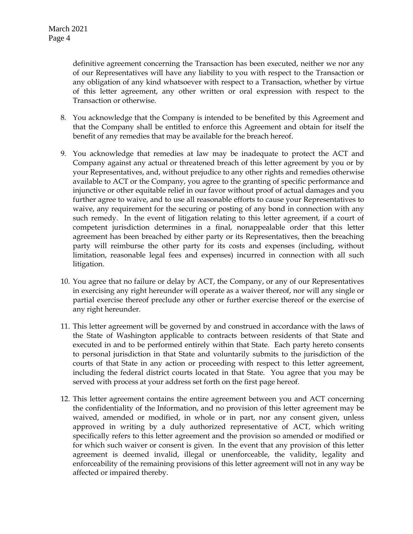definitive agreement concerning the Transaction has been executed, neither we nor any of our Representatives will have any liability to you with respect to the Transaction or any obligation of any kind whatsoever with respect to a Transaction, whether by virtue of this letter agreement, any other written or oral expression with respect to the Transaction or otherwise.

- 8. You acknowledge that the Company is intended to be benefited by this Agreement and that the Company shall be entitled to enforce this Agreement and obtain for itself the benefit of any remedies that may be available for the breach hereof.
- 9. You acknowledge that remedies at law may be inadequate to protect the ACT and Company against any actual or threatened breach of this letter agreement by you or by your Representatives, and, without prejudice to any other rights and remedies otherwise available to ACT or the Company, you agree to the granting of specific performance and injunctive or other equitable relief in our favor without proof of actual damages and you further agree to waive, and to use all reasonable efforts to cause your Representatives to waive, any requirement for the securing or posting of any bond in connection with any such remedy. In the event of litigation relating to this letter agreement, if a court of competent jurisdiction determines in a final, nonappealable order that this letter agreement has been breached by either party or its Representatives, then the breaching party will reimburse the other party for its costs and expenses (including, without limitation, reasonable legal fees and expenses) incurred in connection with all such litigation.
- 10. You agree that no failure or delay by ACT, the Company, or any of our Representatives in exercising any right hereunder will operate as a waiver thereof, nor will any single or partial exercise thereof preclude any other or further exercise thereof or the exercise of any right hereunder.
- 11. This letter agreement will be governed by and construed in accordance with the laws of the State of Washington applicable to contracts between residents of that State and executed in and to be performed entirely within that State. Each party hereto consents to personal jurisdiction in that State and voluntarily submits to the jurisdiction of the courts of that State in any action or proceeding with respect to this letter agreement, including the federal district courts located in that State. You agree that you may be served with process at your address set forth on the first page hereof.
- 12. This letter agreement contains the entire agreement between you and ACT concerning the confidentiality of the Information, and no provision of this letter agreement may be waived, amended or modified, in whole or in part, nor any consent given, unless approved in writing by a duly authorized representative of ACT, which writing specifically refers to this letter agreement and the provision so amended or modified or for which such waiver or consent is given. In the event that any provision of this letter agreement is deemed invalid, illegal or unenforceable, the validity, legality and enforceability of the remaining provisions of this letter agreement will not in any way be affected or impaired thereby.